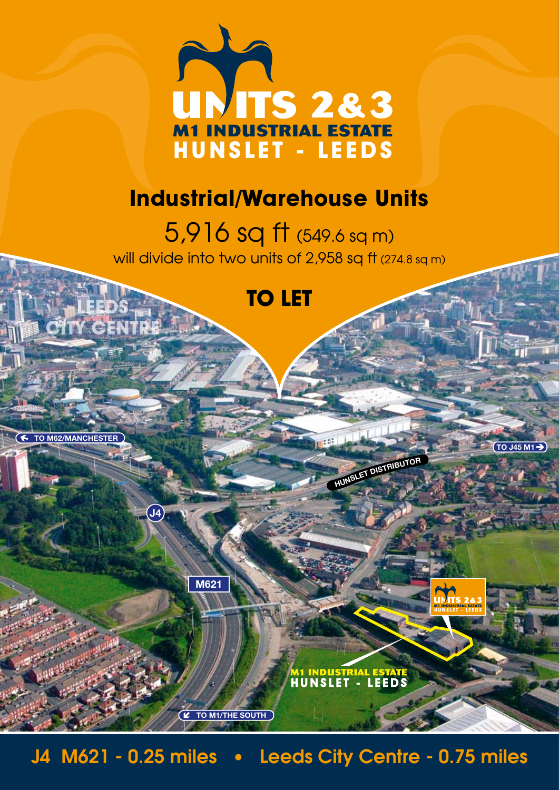

## **Industrial/Warehouse Units**

5,916 sq ft (549.6 sq m) will divide into two units of 2,958 sq ft (274.8 sq m)

## **TO LET**

**HUNSLE<sup>T</sup> <sup>D</sup>ISTRIBUTO<sup>R</sup>**

M1 INDUSTRIAL ESTATE<br>HUNSLET - LEEDS

**TO J45 M1**

**TO M62/MANCHESTER**

**LEEDS** 

**CITY CENTRE**

J4 M621 - 0.25 miles • Leeds City Centre - 0.75 miles

**M621**

**TO M1/THE SOUTH**

**J4**